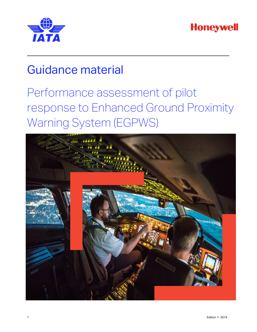



# Guidance material

# Performance assessment of pilot response to Enhanced Ground Proximity Warning System (EGPWS)

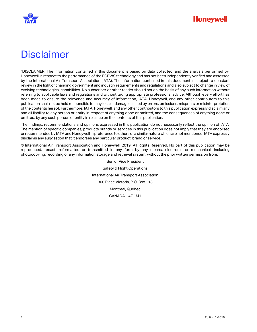

## **Disclaimer**

"DISCLAIMER. The information contained in this document is based on data collected, and the analysis performed by, Honeywell in respect to the performance of the EGPWS technology and has not been independently verified and assessed by the International Air Transport Association (IATA). The information contained in this document is subject to constant review in the light of changing government and industry requirements and regulations and also subject to change in view of evolving technological capabilities. No subscriber or other reader should act on the basis of any such information without referring to applicable laws and regulations and without taking appropriate professional advice. Although every effort has been made to ensure the relevance and accuracy of information, IATA, Honeywell, and any other contributors to this publication shall not be held responsible for any loss or damage caused by errors, omissions, misprints or misinterpretation of the contents hereof. Furthermore, IATA, Honeywell, and any other contributors to this publication expressly disclaim any and all liability to any person or entity in respect of anything done or omitted, and the consequences of anything done or omitted, by any such person or entity in reliance on the contents of this publication.

The findings, recommendations and opinions expressed in this publication do not necessarily reflect the opinion of IATA. The mention of specific companies, products brands or services in this publication does not imply that they are endorsed or recommended by IATA and Honeywell in preference to others of a similar nature which are not mentioned. IATA expressly disclaims any suggestion that it endorses any particular product, brand or service.

© International Air Transport Association and Honeywell, 2019. All Rights Reserved. No part of this publication may be reproduced, recast, reformatted or transmitted in any form by any means, electronic or mechanical, including photocopying, recording or any information storage and retrieval system, without the prior written permission from:

> Senior Vice President Safety & Flight Operations International Air Transport Association 800 Place Victoria, P.O. Box 113 Montreal, Quebec CANADA H4Z 1M1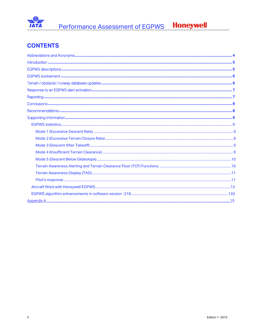

### **CONTENTS**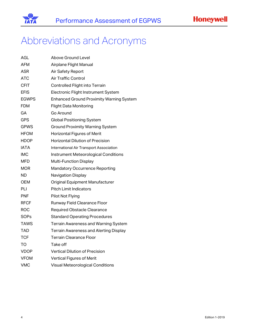

## <span id="page-3-0"></span>Abbreviations and Acronyms

| AGL          | Above Ground Level                              |  |  |  |  |
|--------------|-------------------------------------------------|--|--|--|--|
| AFM          | Airplane Flight Manual                          |  |  |  |  |
| ASR          | Air Safety Report                               |  |  |  |  |
| <b>ATC</b>   | Air Traffic Control                             |  |  |  |  |
| <b>CFIT</b>  | Controlled Flight into Terrain                  |  |  |  |  |
| <b>EFIS</b>  | Electronic Flight Instrument System             |  |  |  |  |
| <b>EGWPS</b> | <b>Enhanced Ground Proximity Warning System</b> |  |  |  |  |
| FDM          | <b>Flight Data Monitoring</b>                   |  |  |  |  |
| GА           | Go Around                                       |  |  |  |  |
| GPS          | <b>Global Positioning System</b>                |  |  |  |  |
| GPWS         | <b>Ground Proximity Warning System</b>          |  |  |  |  |
| HFOM         | <b>Horizontal Figures of Merit</b>              |  |  |  |  |
| <b>HDOP</b>  | <b>Horizontal Dilution of Precision</b>         |  |  |  |  |
| <b>IATA</b>  | International Air Transport Association         |  |  |  |  |
| IMC          | Instrument Meteorological Conditions            |  |  |  |  |
| MFD          | Multi-Function Display                          |  |  |  |  |
| MOR          | <b>Mandatory Occurrence Reporting</b>           |  |  |  |  |
| ND           | Navigation Display                              |  |  |  |  |
| OEM          | Original Equipment Manufacturer                 |  |  |  |  |
| PLI          | Pitch Limit Indicators                          |  |  |  |  |
| <b>PNF</b>   | Pilot Not Flying                                |  |  |  |  |
| <b>RFCF</b>  | Runway Field Clearance Floor                    |  |  |  |  |
| ROC          | <b>Required Obstacle Clearance</b>              |  |  |  |  |
| SOPs         | <b>Standard Operating Procedures</b>            |  |  |  |  |
| TAWS         | <b>Terrain Awareness and Warning System</b>     |  |  |  |  |
| TAD          | <b>Terrain Awareness and Alerting Display</b>   |  |  |  |  |
| <b>TCF</b>   | Terrain Clearance Floor                         |  |  |  |  |
| TO           | Take off                                        |  |  |  |  |
| VDOP         | <b>Vertical Dilution of Precision</b>           |  |  |  |  |
| VFOM         | <b>Vertical Figures of Merit</b>                |  |  |  |  |
| <b>VMC</b>   | <b>Visual Meteorological Conditions</b>         |  |  |  |  |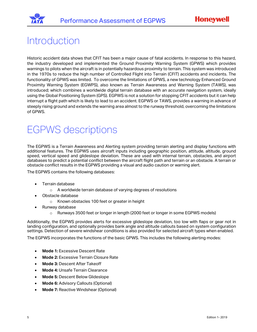



### <span id="page-4-0"></span>Introduction

Historic accident data shows that CFIT has been a major cause of fatal accidents. In response to this hazard, the industry developed and implemented the Ground Proximity Warning System (GPWS) which provides warnings to pilots when the aircraft is in potentially hazardous proximity to terrain. This system was introduced in the 1970s to reduce the high number of Controlled Flight into Terrain (CFIT) accidents and incidents. The functionality of GPWS was limited. To overcome the limitations of GPWS, a new technology Enhanced Ground Proximity Warning System (EGWPS), also known as Terrain Awareness and Warning System (TAWS), was introduced; which combines a worldwide digital terrain database with an accurate navigation system, ideally using the Global Positioning System (GPS). EGPWS is not a solution for stopping CFIT accidents but it can help interrupt a flight path which is likely to lead to an accident. EGPWS or TAWS, provides a warning in advance of steeply rising ground and extends the warning area almost to the runway threshold, overcoming the limitations of GPWS.

# <span id="page-4-1"></span>EGPWS descriptions

The EGPWS is a Terrain Awareness and Alerting system providing terrain alerting and display functions with additional features. The EGPWS uses aircraft inputs including geographic position, attitude, altitude, ground speed, vertical speed and glideslope deviation. These are used with internal terrain, obstacles, and airport databases to predict a potential conflict between the aircraft flight path and terrain or an obstacle. A terrain or obstacle conflict results in the EGPWS providing a visual and audio caution or warning alert.

The EGPWS contains the following databases:

- Terrain database
	- o A worldwide terrain database of varying degrees of resolutions
- Obstacle database
	- o Known obstacles 100 feet or greater in height
- Runway database
	- o Runways 3500 feet or longer in length (2000 feet or longer in some EGPWS models)

Additionally, the EGPWS provides alerts for excessive glideslope deviation, too low with flaps or gear not in landing configuration, and optionally provides bank angle and altitude callouts based on system configuration settings. Detection of severe windshear conditions is also provided for selected aircraft types when enabled.

The EGPWS incorporates the functions of the basic GPWS. This includes the following alerting modes:

- **Mode 1:** Excessive Descent Rate
- **Mode 2:** Excessive Terrain Closure Rate
- **Mode 3:** Descent After Takeoff
- **Mode 4:** Unsafe Terrain Clearance
- **Mode 5:** Descent Below Glideslope
- **Mode 6:** Advisory Callouts (Optional)
- **Mode 7:** Reactive Windshear (Optional)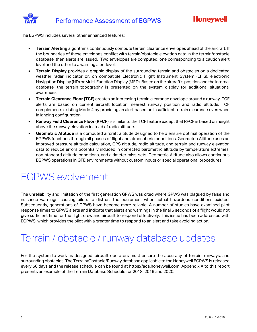The EGPWS includes several other enhanced features:

- **Terrain Alerting** algorithms continuously compute terrain clearance envelopes ahead of the aircraft. If the boundaries of these envelopes conflict with terrain/obstacle elevation data in the terrain/obstacle database, then alerts are issued. Two envelopes are computed, one corresponding to a caution alert level and the other to a warning alert level.
- **Terrain Display** provides a graphic display of the surrounding terrain and obstacles on a dedicated weather radar indicator or, on compatible Electronic Flight Instrument System (EFIS), electronic Navigation Display (ND) or Multi-Function Display (MFD). Based on the aircraft's position and the internal database, the terrain topography is presented on the system display for additional situational awareness.
- **Terrain Clearance Floor (TCF)** creates an increasing terrain clearance envelope around a runway. TCF alerts are based on current aircraft location, nearest runway position and radio altitude. TCF complements existing Mode 4 by providing an alert based on insufficient terrain clearance even when in landing configuration.
- **Runway Field Clearance Floor (RFCF)** is similar to the TCF feature except that RFCF is based on height above the runway elevation instead of radio altitude.
- **Geometric Altitude** is a computed aircraft altitude designed to help ensure optimal operation of the EGPWS functions through all phases of flight and atmospheric conditions. Geometric Altitude uses an improved pressure altitude calculation, GPS altitude, radio altitude, and terrain and runway elevation data to reduce errors potentially induced in corrected barometric altitude by temperature extremes, non-standard altitude conditions, and altimeter miss-sets. Geometric Altitude also allows continuous EGPWS operations in QFE environments without custom inputs or special operational procedures.

### <span id="page-5-0"></span>EGPWS evolvement

The unreliability and limitation of the first generation GPWS was cited where GPWS was plagued by false and nuisance warnings, causing pilots to distrust the equipment when actual hazardous conditions existed. Subsequently, generations of GPWS have become more reliable. A number of studies have examined pilot response times to GPWS alerts and indicate that alerts and warnings in the final 5 seconds of a flight would not give sufficient time for the flight crew and aircraft to respond effectively. This issue has been addressed with EGPWS, which provides the pilot with a greater time to respond to an alert and take avoiding action.

### <span id="page-5-1"></span>Terrain / obstacle / runway database updates

For the system to work as designed, aircraft operators must ensure the accuracy of terrain, runways, and surrounding obstacles. The Terrain/Obstacle/Runway database applicable to the Honeywell EGPWS is released every 56 days and the release schedule can be found at [https://ads.honeywell.com.](https://ads.honeywell.com/login) Appendix A to this report presents an example of the Terrain Database Schedule for 2018, 2019 and 2020.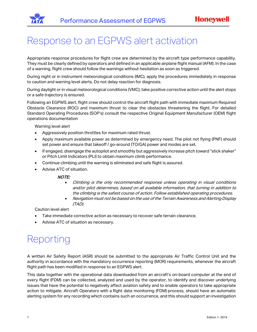

## <span id="page-6-0"></span>Response to an EGPWS alert activation

Appropriate response procedures for flight crew are determined by the aircraft type performance capability. They must be clearly defined by operators and defined in an applicable airplane flight manual (AFM). In the case of a warning, flight crew should follow the warnings without hesitation as soon as triggered.

During night or in instrument meteorological conditions (IMC), apply the procedures immediately in response to caution and warning level alerts. Do not delay reaction for diagnosis.

During daylight or in visual meteorological conditions (VMC), take positive corrective action until the alert stops or a safe trajectory is ensured.

Following an EGPWS alert, flight crew should control the aircraft flight path with immediate maximum Required Obstacle Clearance (ROC) and maximum thrust to clear the obstacles threatening the flight. For detailed Standard Operating Procedures (SOP's) consult the respective Original Equipment Manufacturer (OEM) flight operations documentation

Warning level alert

- Aggressively position throttles for maximum rated thrust.
- Apply maximum available power as determined by emergency need. The pilot not flying (PNF) should set power and ensure that takeoff / go-around (TO/GA) power and modes are set.
- If engaged, disengage the autopilot and smoothly but aggressively increase pitch toward "stick shaker" or Pitch Limit Indicators (PLI) to obtain maximum climb performance.
- Continue climbing until the warning is eliminated and safe flight is assured.
- Advise ATC of situation.

#### NOTE:

- Climbing is the only recommended response unless operating in visual conditions and/or pilot determines, based on all available information, that turning in addition to the climbing is the safest course of action. Follow established operating procedures.
- Navigation must not be based on the use of the Terrain Awareness and Alerting Display (TAD).

Caution level alert

- Take immediate corrective action as necessary to recover safe terrain clearance.
- Advise ATC of situation as necessary.

## <span id="page-6-1"></span>Reporting

A written Air Safety Report (ASR) should be submitted to the appropriate Air Traffic Control Unit and the authority in accordance with the mandatory occurrence reporting (MOR) requirements, whenever the aircraft flight path has been modified in response to an EGPWS alert.

This data together with the operational data downloaded from an aircraft's on-board computer at the end of every flight (FDM) can be collected, analyzed and used by the operator, to identify and discover underlying issues that have the potential to negatively affect aviation safety and to enable operators to take appropriate action to mitigate. Aircraft Operators with a [flight data monitoring \(F](https://skybrary.aero/index.php/Flight_Data_Monitoring)DM) process, should have an automatic alerting system for any recording which contains such an occurrence, and this should support an investigation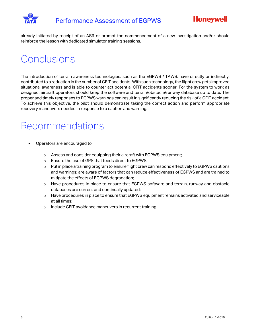

already initiated by receipt of an ASR or prompt the commencement of a new investigation and/or should reinforce the lesson with dedicated simulator training sessions.

# <span id="page-7-0"></span>**Conclusions**

The introduction of terrain awareness technologies, such as the EGPWS / TAWS, have directly or indirectly, contributed to a reduction in the number of CFIT accidents. With such technology, the flight crew gets improved situational awareness and is able to counter act potential CFIT accidents sooner. For the system to work as designed, aircraft operators should keep the software and terrain/obstacle/runway database up to date. The proper and timely responses to EGPWS warnings can result in significantly reducing the risk of a CFIT accident. To achieve this objective, the pilot should demonstrate taking the correct action and perform appropriate recovery maneuvers needed in response to a caution and warning.

### <span id="page-7-1"></span>Recommendations

- Operators are encouraged to
	- $\circ$  Assess and consider equipping their aircraft with EGPWS equipment;
	- o Ensure the use of GPS that feeds direct to EGPWS;
	- $\circ$  Put in place a training program to ensure flight crew can respond effectively to EGPWS cautions and warnings; are aware of factors that can reduce effectiveness of EGPWS and are trained to mitigate the effects of EGPWS degradation;
	- o Have procedures in place to ensure that EGPWS software and terrain, runway and obstacle databases are current and continually updated;
	- o Have procedures in place to ensure that EGPWS equipment remains activated and serviceable at all times;
	- o Include CFIT avoidance maneuvers in recurrent training.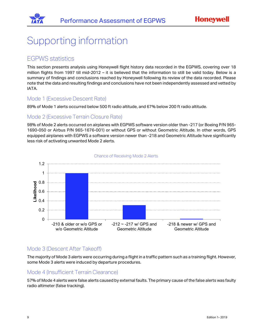

# <span id="page-8-0"></span>Supporting information

### <span id="page-8-1"></span>EGPWS statistics

This section presents analysis using Honeywell flight history data recorded in the EGPWS, covering over 18 million flights from 1997 till mid-2012 – it is believed that the information to still be valid today. Below is a summary of findings and conclusions reached by Honeywell following its review of the data recorded. Please note that the data and resulting findings and conclusions have not been independently assessed and vetted by IATA.

#### <span id="page-8-2"></span>Mode 1 (Excessive Descent Rate)

89% of Mode 1 alerts occurred below 500 ft radio altitude, and 67% below 200 ft radio altitude.

#### <span id="page-8-3"></span>Mode 2 (Excessive Terrain Closure Rate)

98% of Mode 2 alerts occurred on airplanes with EGPWS software version older than -217 (or Boeing P/N 965- 1690-050 or Airbus P/N 965-1676-001) or without GPS or without Geometric Altitude. In other words, GPS equipped airplanes with EGPWS a software version newer than -218 and Geometric Altitude have significantly less risk of activating unwanted Mode 2 alerts.



#### Chance of Receiving Mode 2 Alerts

#### <span id="page-8-4"></span>Mode 3 (Descent After Takeoff)

The majority of Mode 3 alerts were occurring during a flight in a traffic pattern such as a training flight. However, some Mode 3 alerts were induced by departure procedures.

#### <span id="page-8-5"></span>Mode 4 (Insufficient Terrain Clearance)

57% of Mode 4 alerts were false alerts caused by external faults. The primary cause of the false alerts was faulty radio altimeter (false tracking).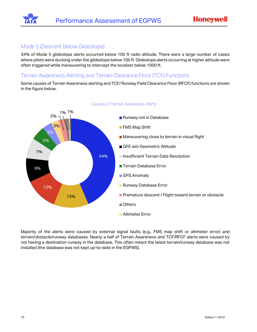

#### <span id="page-9-0"></span>Mode 5 (Descent Below Glideslope)

34% of Mode 5 glideslope alerts occurred below 100 ft radio altitude. There were a large number of cases where pilots were ducking under the glideslope below 100 ft. Glideslope alerts occurring at higher altitude were often triggered while maneuvering to intercept the localizer below 1000 ft.

#### <span id="page-9-1"></span>Terrain Awareness Alerting and Terrain Clearance Floor (TCF) Functions

Some causes of Terrain Awareness alerting and TCF/ Runway Field Clearance Floor (RFCF) functions are shown in the figure below.



#### Causes of Terrain Awareness Alerts

Majority of the alerts were caused by external signal faults (e.g., FMS map shift or altimeter error) and terrain/obstacle/runway databases. Nearly a half of Terrain Awareness and TCF/RFCF alerts were caused by not having a destination runway in the database. This often meant the latest terrain/runway database was not installed (the database was not kept up-to-date in the EGPWS).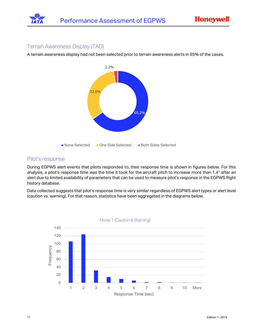

#### <span id="page-10-0"></span>Terrain Awareness Display (TAD)

A terrain awareness display had not been selected prior to terrain awareness alerts in 65% of the cases.



#### <span id="page-10-1"></span>Pilot's response

During EGPWS alert events that pilots responded to, their response time is shown in figures below. For this analysis, a pilot's response time was the time it took for the aircraft pitch to increase more than 1.4° after an alert due to limited availability of parameters that can be used to measure pilot's response in the EGPWS flight history database.

Data collected suggests that pilot's response time is very similar regardless of EGPWS alert types or alert level (caution vs. warning). For that reason, statistics have been aggregated in the diagrams below.



Mode 1 (Caution & Warning)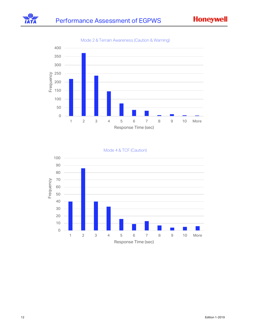**Honeywell** 





#### Mode 4 & TCF (Caution)

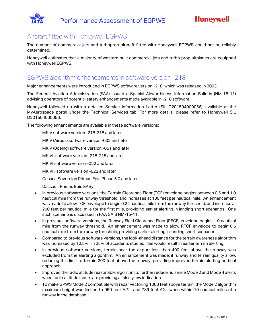### <span id="page-12-0"></span>Aircraft fitted with Honeywell EGPWS

The number of commercial jets and turboprop aircraft fitted with Honeywell EGPWS could not be reliably determined.

Honeywell estimates that a majority of western built commercial jets and turbo prop airplanes are equipped with Honeywell EGPWS.

### <span id="page-12-1"></span>EGPWS algorithm enhancements in software version -218

Major enhancements were introduced in EGPWS software version -218, which was released in 2003.

The Federal Aviation Administration (FAA) issued a Special Airworthiness Information Bulletin (NM-15-11) advising operators of potential safety enhancements made available in -218 software.

Honeywell followed up with a detailed Service Information Letter (SIL D201504000056), available at the MyAerospace portal under the Technical Services tab. For more details, please refer to Honeywell SIL D201504000056.

The following enhancements are available in these software versions:

MK V software version -218-218 and later MK V (Airbus) software version -002 and later MK V (Boeing) software version -051 and later MK VII software version -218-218 and later MK VI software version -022 and later MK VIII software version -022 and later Cessna Sovereign Primus Epic Phase 5.0 and later

Dassault Primus Epic EASy II

- In previous software versions, the Terrain Clearance Floor (TCF) envelope begins between 0.5 and 1.0 nautical mile from the runway threshold, and increases at 100 feet per nautical mile. An enhancement was made to allow TCF envelope to begin 0.25 nautical mile from the runway threshold, and increase at 200 feet per nautical mile for the first mile, providing earlier alerting in landing short scenarios. One such scenario is discussed in FAA SAIB NM-15-11.
- In previous software versions, the Runway Field Clearance Floor (RFCF) envelope begins 1.0 nautical mile from the runway threshold. An enhancement was made to allow RFCF envelope to begin 0.5 nautical mile from the runway threshold, providing earlier alerting in landing short scenarios.
- Compared to previous software versions, the look-ahead distance for the terrain awareness algorithm was increased by 12.5%. In 25% of accidents studied, this would result in earlier terrain alerting.
- In previous software versions, terrain near the airport less than 400 feet above the runway was excluded from the alerting algorithm. An enhancement was made, if runway and terrain quality allow, reducing this limit to terrain 200 feet above the runway, providing improved terrain alerting on final approach.
- Improved the radio altitude reasonable algorithm to further reduce nuisance Mode 2 and Mode 4 alerts when radio altitude inputs are providing a falsely low indication.
- To make GPWS Mode 2 compatible with radar vectoring 1000 feet above terrain, the Mode 2 algorithm maximum height was limited to 950 feet AGL, and 789 feet AGL when within 10 nautical miles of a runway in the database.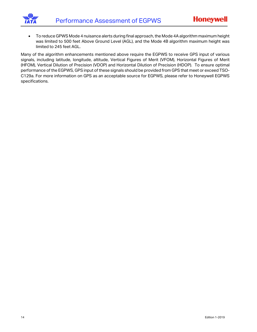

• To reduce GPWS Mode 4 nuisance alerts during final approach, the Mode 4A algorithm maximum height was limited to 500 feet Above Ground Level (AGL), and the Mode 4B algorithm maximum height was limited to 245 feet AGL.

Many of the algorithm enhancements mentioned above require the EGPWS to receive GPS input of various signals, including latitude, longitude, altitude, Vertical Figures of Merit (VFOM), Horizontal Figures of Merit (HFOM), Vertical Dilution of Precision (VDOP) and Horizontal Dilution of Precision (HDOP). To ensure optimal performance of the EGPWS, GPS input of these signals should be provided from GPS that meet or exceed TSO-C129a. For more information on GPS as an acceptable source for EGPWS, please refer to Honeywell EGPWS specifications.